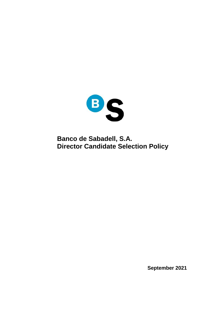

**Banco de Sabadell, S.A. Director Candidate Selection Policy**

**September 2021**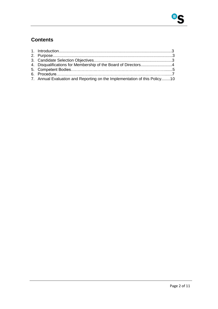# **Contents**

| 4. Disqualifications for Membership of the Board of Directors4            |  |
|---------------------------------------------------------------------------|--|
|                                                                           |  |
|                                                                           |  |
| 7. Annual Evaluation and Reporting on the Implementation of this Policy10 |  |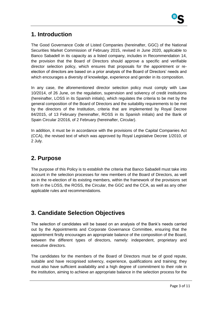## **1. Introduction**

The Good Governance Code of Listed Companies (hereinafter, GGC) of the National Securities Market Commission of February 2015, revised in June 2020, applicable to Banco Sabadell in its capacity as a listed company, includes in Recommendation 14, the provision that the Board of Directors should approve a specific and verifiable director selection policy, which ensures that proposals for the appointment or reelection of directors are based on a prior analysis of the Board of Directors' needs and which encourages a diversity of knowledge, experience and gender in its composition.

In any case, the aforementioned director selection policy must comply with Law 10/2014, of 26 June, on the regulation, supervision and solvency of credit institutions (hereinafter, LOSS in its Spanish initials), which regulates the criteria to be met by the general composition of the Board of Directors and the suitability requirements to be met by the directors of the Institution, criteria that are implemented by Royal Decree 84/2015, of 13 February (hereinafter, ROSS in its Spanish initials) and the Bank of Spain Circular 2/2016, of 2 February (hereinafter, Circular).

In addition, it must be in accordance with the provisions of the Capital Companies Act (CCA), the revised text of which was approved by Royal Legislative Decree 1/2010, of 2 July.

## **2. Purpose**

The purpose of this Policy is to establish the criteria that Banco Sabadell must take into account in the selection processes for new members of the Board of Directors, as well as in the re-election of its existing members, within the framework of the provisions set forth in the LOSS, the ROSS, the Circular, the GGC and the CCA, as well as any other applicable rules and recommendations.

## **3. Candidate Selection Objectives**

The selection of candidates will be based on an analysis of the Bank's needs carried out by the Appointments and Corporate Governance Committee, ensuring that the appointment firstly encourages an appropriate balance of the composition of the Board, between the different types of directors, namely: independent, proprietary and executive directors.

The candidates for the members of the Board of Directors must be of good repute, suitable and have recognised solvency, experience, qualifications and training; they must also have sufficient availability and a high degree of commitment to their role in the institution, aiming to achieve an appropriate balance in the selection process for the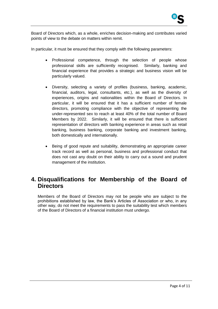Board of Directors which, as a whole, enriches decision-making and contributes varied points of view to the debate on matters within remit.

In particular, it must be ensured that they comply with the following parameters:

- Professional competence, through the selection of people whose professional skills are sufficiently recognised. Similarly, banking and financial experience that provides a strategic and business vision will be particularly valued.
- Diversity, selecting a variety of profiles (business, banking, academic, financial, auditors, legal, consultants, etc.), as well as the diversity of experiences, origins and nationalities within the Board of Directors. In particular, it will be ensured that it has a sufficient number of female directors, promoting compliance with the objective of representing the under-represented sex to reach at least 40% of the total number of Board Members by 2022. Similarly, it will be ensured that there is sufficient representation of directors with banking experience in areas such as retail banking, business banking, corporate banking and investment banking, both domestically and internationally.
- Being of good repute and suitability, demonstrating an appropriate career track record as well as personal, business and professional conduct that does not cast any doubt on their ability to carry out a sound and prudent management of the institution.

### **4. Disqualifications for Membership of the Board of Directors**

Members of the Board of Directors may not be people who are subject to the prohibitions established by law, the Bank's Articles of Association or who, in any other way, do not meet the requirements to pass the suitability test which members of the Board of Directors of a financial institution must undergo.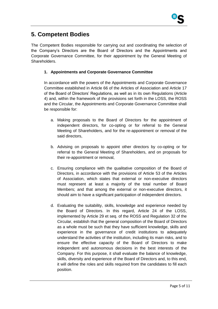## **5. Competent Bodies**

The Competent Bodies responsible for carrying out and coordinating the selection of the Company's Directors are the Board of Directors and the Appointments and Corporate Governance Committee, for their appointment by the General Meeting of Shareholders.

### **1. Appointments and Corporate Governance Committee**

In accordance with the powers of the Appointments and Corporate Governance Committee established in Article 66 of the Articles of Association and Article 17 of the Board of Directors' Regulations, as well as in its own Regulations (Article 4) and, within the framework of the provisions set forth in the LOSS, the ROSS and the Circular, the Appointments and Corporate Governance Committee shall be responsible for:

- a. Making proposals to the Board of Directors for the appointment of independent directors, for co-opting or for referral to the General Meeting of Shareholders, and for the re-appointment or removal of the said directors,
- b. Advising on proposals to appoint other directors by co-opting or for referral to the General Meeting of Shareholders, and on proposals for their re-appointment or removal,
- c. Ensuring compliance with the qualitative composition of the Board of Directors, in accordance with the provisions of Article 53 of the Articles of Association, which states that external or non-executive directors must represent at least a majority of the total number of Board Members; and that among the external or non-executive directors, it should aim to have a significant participation of independent directors.
- d. Evaluating the suitability, skills, knowledge and experience needed by the Board of Directors. In this regard, Article 24 of the LOSS, implemented by Article 29 et seq. of the ROSS and Regulation 32 of the Circular, establish that the general composition of the Board of Directors as a whole must be such that they have sufficient knowledge, skills and experience in the governance of credit institutions to adequately understand the activities of the institution, including its main risks, and to ensure the effective capacity of the Board of Directors to make independent and autonomous decisions in the best interests of the Company. For this purpose, it shall evaluate the balance of knowledge, skills, diversity and experience of the Board of Directors and, to this end, it will define the roles and skills required from the candidates to fill each position.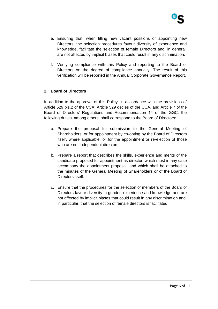

- e. Ensuring that, when filling new vacant positions or appointing new Directors, the selection procedures favour diversity of experience and knowledge, facilitate the selection of female Directors and, in general, are not affected by implicit biases that could result in any discrimination.
- f. Verifying compliance with this Policy and reporting to the Board of Directors on the degree of compliance annually. The result of this verification will be reported in the Annual Corporate Governance Report.

#### **2. Board of Directors**

In addition to the approval of this Policy, in accordance with the provisions of Article 529 bis.2 of the CCA, Article 529 decies of the CCA, and Article 7 of the Board of Directors' Regulations and Recommendation 14 of the GGC, the following duties, among others, shall correspond to the Board of Directors:

- a. Prepare the proposal for submission to the General Meeting of Shareholders, or for appointment by co-opting by the Board of Directors itself, where applicable, or for the appointment or re-election of those who are not independent directors.
- b. Prepare a report that describes the skills, experience and merits of the candidate proposed for appointment as director, which must in any case accompany the appointment proposal, and which shall be attached to the minutes of the General Meeting of Shareholders or of the Board of Directors itself.
- c. Ensure that the procedures for the selection of members of the Board of Directors favour diversity in gender, experience and knowledge and are not affected by implicit biases that could result in any discrimination and, in particular, that the selection of female directors is facilitated.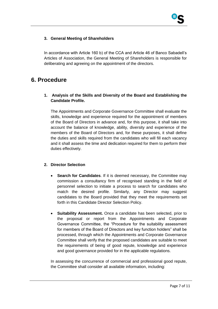### **3. General Meeting of Shareholders**

In accordance with Article 160 b) of the CCA and Article 46 of Banco Sabadell's Articles of Association, the General Meeting of Shareholders is responsible for deliberating and agreeing on the appointment of the directors.

### **6. Procedure**

### **1. Analysis of the Skills and Diversity of the Board and Establishing the Candidate Profile.**

The Appointments and Corporate Governance Committee shall evaluate the skills, knowledge and experience required for the appointment of members of the Board of Directors in advance and, for this purpose, it shall take into account the balance of knowledge, ability, diversity and experience of the members of the Board of Directors and, for these purposes, it shall define the duties and skills required from the candidates who will fill each vacancy and it shall assess the time and dedication required for them to perform their duties effectively.

### **2. Director Selection**

- **Search for Candidates**. If it is deemed necessary, the Committee may commission a consultancy firm of recognised standing in the field of personnel selection to initiate a process to search for candidates who match the desired profile. Similarly, any Director may suggest candidates to the Board provided that they meet the requirements set forth in this Candidate Director Selection Policy.
- **Suitability Assessment.** Once a candidate has been selected, prior to the proposal or report from the Appointments and Corporate Governance Committee, the "Procedure for the suitability assessment for members of the Board of Directors and key function holders" shall be processed, through which the Appointments and Corporate Governance Committee shall verify that the proposed candidates are suitable to meet the requirements of being of good repute, knowledge and experience and good governance provided for in the applicable regulations.

In assessing the concurrence of commercial and professional good repute, the Committee shall consider all available information, including: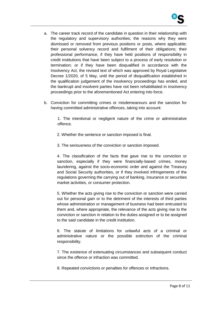

- a. The career track record of the candidate in question in their relationship with the regulatory and supervisory authorities; the reasons why they were dismissed or removed from previous positions or posts, where applicable; their personal solvency record and fulfilment of their obligations; their professional performance, if they have held positions of responsibility in credit institutions that have been subject to a process of early resolution or termination; or if they have been disqualified in accordance with the Insolvency Act, the revised text of which was approved by Royal Legislative Decree 1/2020, of 5 May, until the period of disqualification established in the qualification judgement of the insolvency proceedings has ended, and the bankrupt and insolvent parties have not been rehabilitated in insolvency proceedings prior to the aforementioned Act entering into force.
- b. Conviction for committing crimes or misdemeanours and the sanction for having committed administrative offences, taking into account:

1. The intentional or negligent nature of the crime or administrative offence.

2. Whether the sentence or sanction imposed is final.

3. The seriousness of the conviction or sanction imposed.

4. The classification of the facts that gave rise to the conviction or sanction, especially if they were financially-based crimes, money laundering, against the socio-economic order and against the Treasury and Social Security authorities, or if they involved infringements of the regulations governing the carrying out of banking, insurance or securities market activities, or consumer protection.

5. Whether the acts giving rise to the conviction or sanction were carried out for personal gain or to the detriment of the interests of third parties whose administration or management of business had been entrusted to them and, where appropriate, the relevance of the acts giving rise to the conviction or sanction in relation to the duties assigned or to be assigned to the said candidate in the credit institution.

6. The statute of limitations for unlawful acts of a criminal or administrative nature or the possible extinction of the criminal responsibility.

7. The existence of extenuating circumstances and subsequent conduct since the offence or infraction was committed.

8. Repeated convictions or penalties for offences or infractions.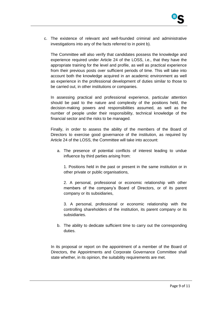c. The existence of relevant and well-founded criminal and administrative investigations into any of the facts referred to in point b).

The Committee will also verify that candidates possess the knowledge and experience required under Article 24 of the LOSS, i.e., that they have the appropriate training for the level and profile, as well as practical experience from their previous posts over sufficient periods of time. This will take into account both the knowledge acquired in an academic environment as well as experience in the professional development of duties similar to those to be carried out, in other institutions or companies.

In assessing practical and professional experience, particular attention should be paid to the nature and complexity of the positions held, the decision-making powers and responsibilities assumed, as well as the number of people under their responsibility, technical knowledge of the financial sector and the risks to be managed.

Finally, in order to assess the ability of the members of the Board of Directors to exercise good governance of the institution, as required by Article 24 of the LOSS, the Committee will take into account:

a. The presence of potential conflicts of interest leading to undue influence by third parties arising from:

1. Positions held in the past or present in the same institution or in other private or public organisations,

2. A personal, professional or economic relationship with other members of the company's Board of Directors, or of its parent company or its subsidiaries,

3. A personal, professional or economic relationship with the controlling shareholders of the institution, its parent company or its subsidiaries.

b. The ability to dedicate sufficient time to carry out the corresponding duties.

In its proposal or report on the appointment of a member of the Board of Directors, the Appointments and Corporate Governance Committee shall state whether, in its opinion, the suitability requirements are met.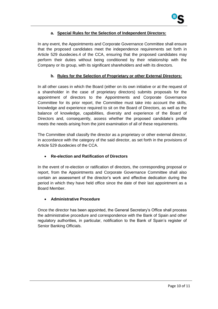### **a. Special Rules for the Selection of Independent Directors:**

In any event, the Appointments and Corporate Governance Committee shall ensure that the proposed candidates meet the independence requirements set forth in Article 529 duodecies.4 of the CCA, ensuring that the proposed candidates may perform their duties without being conditioned by their relationship with the Company or its group, with its significant shareholders and with its directors.

### **b. Rules for the Selection of Proprietary or other External Directors:**

In all other cases in which the Board (either on its own initiative or at the request of a shareholder in the case of proprietary directors) submits proposals for the appointment of directors to the Appointments and Corporate Governance Committee for its prior report, the Committee must take into account the skills, knowledge and experience required to sit on the Board of Directors, as well as the balance of knowledge, capabilities, diversity and experience of the Board of Directors and, consequently, assess whether the proposed candidate's profile meets the needs arising from the joint examination of all of these requirements.

The Committee shall classify the director as a proprietary or other external director, in accordance with the category of the said director, as set forth in the provisions of Article 529 duodecies of the CCA.

### **Re-election and Ratification of Directors**

In the event of re-election or ratification of directors, the corresponding proposal or report, from the Appointments and Corporate Governance Committee shall also contain an assessment of the director's work and effective dedication during the period in which they have held office since the date of their last appointment as a Board Member.

### **Administrative Procedure**

Once the director has been appointed, the General Secretary's Office shall process the administrative procedure and correspondence with the Bank of Spain and other regulatory authorities, in particular, notification to the Bank of Spain's register of Senior Banking Officials.